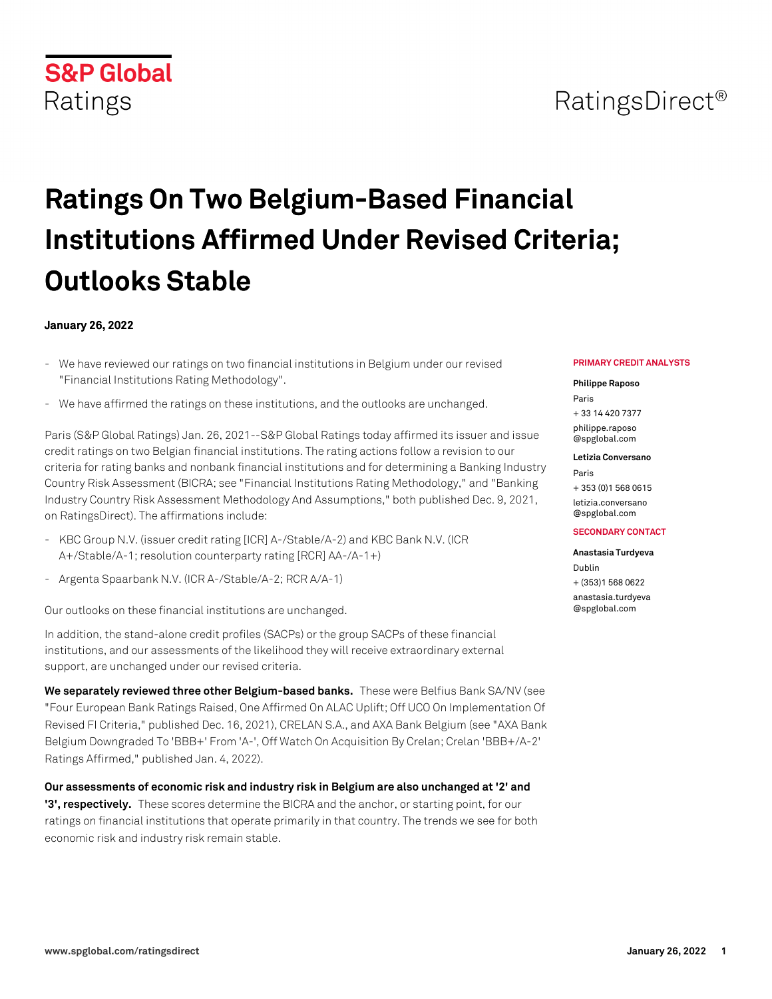# **S&P Global** Ratings

# **Ratings On Two Belgium-Based Financial Institutions Affirmed Under Revised Criteria; Outlooks Stable**

## **January 26, 2022**

- We have reviewed our ratings on two financial institutions in Belgium under our revised "Financial Institutions Rating Methodology".
- We have affirmed the ratings on these institutions, and the outlooks are unchanged.

Paris (S&P Global Ratings) Jan. 26, 2021--S&P Global Ratings today affirmed its issuer and issue credit ratings on two Belgian financial institutions. The rating actions follow a revision to our criteria for rating banks and nonbank financial institutions and for determining a Banking Industry Country Risk Assessment (BICRA; see "Financial Institutions Rating Methodology," and "Banking Industry Country Risk Assessment Methodology And Assumptions," both published Dec. 9, 2021, on RatingsDirect). The affirmations include:

- KBC Group N.V. (issuer credit rating [ICR] A-/Stable/A-2) and KBC Bank N.V. (ICR A+/Stable/A-1; resolution counterparty rating [RCR] AA-/A-1+)
- Argenta Spaarbank N.V. (ICR A-/Stable/A-2; RCR A/A-1)

Our outlooks on these financial institutions are unchanged.

In addition, the stand-alone credit profiles (SACPs) or the group SACPs of these financial institutions, and our assessments of the likelihood they will receive extraordinary external support, are unchanged under our revised criteria.

**We separately reviewed three other Belgium-based banks.** These were Belfius Bank SA/NV (see "Four European Bank Ratings Raised, One Affirmed On ALAC Uplift; Off UCO On Implementation Of Revised FI Criteria," published Dec. 16, 2021), CRELAN S.A., and AXA Bank Belgium (see "AXA Bank Belgium Downgraded To 'BBB+' From 'A-', Off Watch On Acquisition By Crelan; Crelan 'BBB+/A-2' Ratings Affirmed," published Jan. 4, 2022).

**Our assessments of economic risk and industry risk in Belgium are also unchanged at '2' and '3', respectively.** These scores determine the BICRA and the anchor, or starting point, for our ratings on financial institutions that operate primarily in that country. The trends we see for both economic risk and industry risk remain stable.

#### **PRIMARY CREDIT ANALYSTS**

#### **Philippe Raposo**

Paris + 33 14 420 7377 [philippe.raposo](mailto: philippe.raposo@spglobal.com) [@spglobal.com](mailto: philippe.raposo@spglobal.com)

**Letizia Conversano**

Paris + 353 (0)1 568 0615 [letizia.conversano](mailto: letizia.conversano@spglobal.com) [@spglobal.com](mailto: letizia.conversano@spglobal.com)

#### **SECONDARY CONTACT**

#### **Anastasia Turdyeva**

Dublin + (353)1 568 0622

[anastasia.turdyeva](mailto: anastasia.turdyeva@spglobal.com) [@spglobal.com](mailto: anastasia.turdyeva@spglobal.com)

# RatingsDirect<sup>®</sup>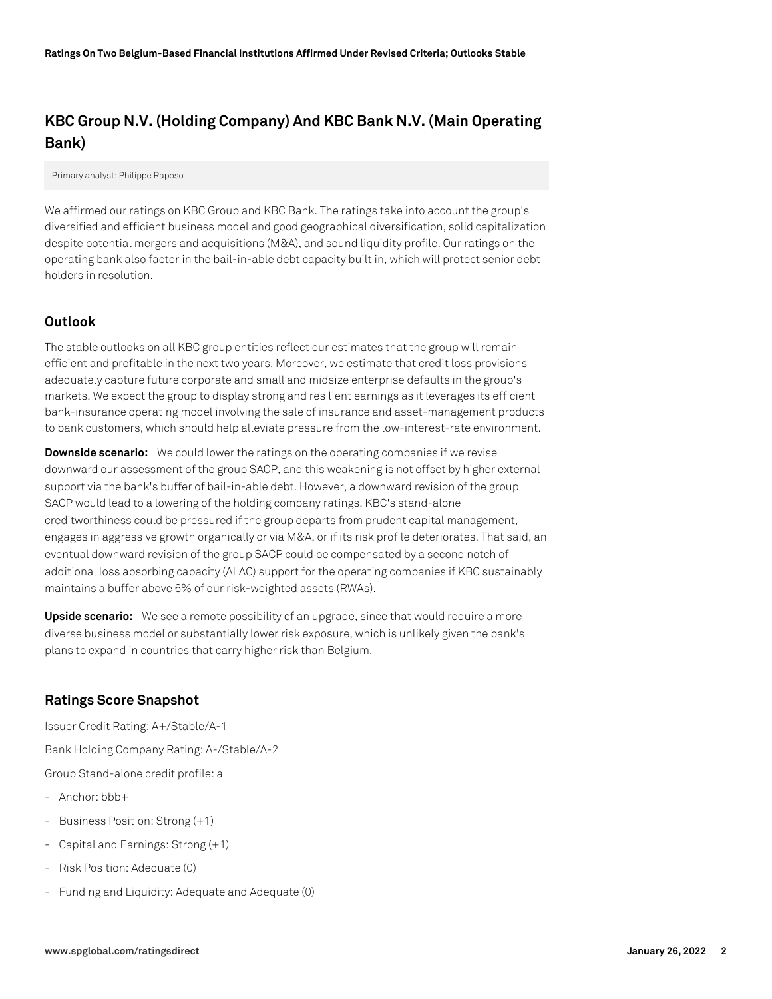# **KBC Group N.V. (Holding Company) And KBC Bank N.V. (Main Operating Bank)**

Primary analyst: Philippe Raposo

We affirmed our ratings on KBC Group and KBC Bank. The ratings take into account the group's diversified and efficient business model and good geographical diversification, solid capitalization despite potential mergers and acquisitions (M&A), and sound liquidity profile. Our ratings on the operating bank also factor in the bail-in-able debt capacity built in, which will protect senior debt holders in resolution.

#### **Outlook**

The stable outlooks on all KBC group entities reflect our estimates that the group will remain efficient and profitable in the next two years. Moreover, we estimate that credit loss provisions adequately capture future corporate and small and midsize enterprise defaults in the group's markets. We expect the group to display strong and resilient earnings as it leverages its efficient bank-insurance operating model involving the sale of insurance and asset-management products to bank customers, which should help alleviate pressure from the low-interest-rate environment.

**Downside scenario:** We could lower the ratings on the operating companies if we revise downward our assessment of the group SACP, and this weakening is not offset by higher external support via the bank's buffer of bail-in-able debt. However, a downward revision of the group SACP would lead to a lowering of the holding company ratings. KBC's stand-alone creditworthiness could be pressured if the group departs from prudent capital management, engages in aggressive growth organically or via M&A, or if its risk profile deteriorates. That said, an eventual downward revision of the group SACP could be compensated by a second notch of additional loss absorbing capacity (ALAC) support for the operating companies if KBC sustainably maintains a buffer above 6% of our risk-weighted assets (RWAs).

**Upside scenario:** We see a remote possibility of an upgrade, since that would require a more diverse business model or substantially lower risk exposure, which is unlikely given the bank's plans to expand in countries that carry higher risk than Belgium.

#### **Ratings Score Snapshot**

Issuer Credit Rating: A+/Stable/A-1

Bank Holding Company Rating: A-/Stable/A-2

Group Stand-alone credit profile: a

- Anchor: bbb+
- Business Position: Strong (+1)
- Capital and Earnings: Strong (+1)
- Risk Position: Adequate (0)
- Funding and Liquidity: Adequate and Adequate (0)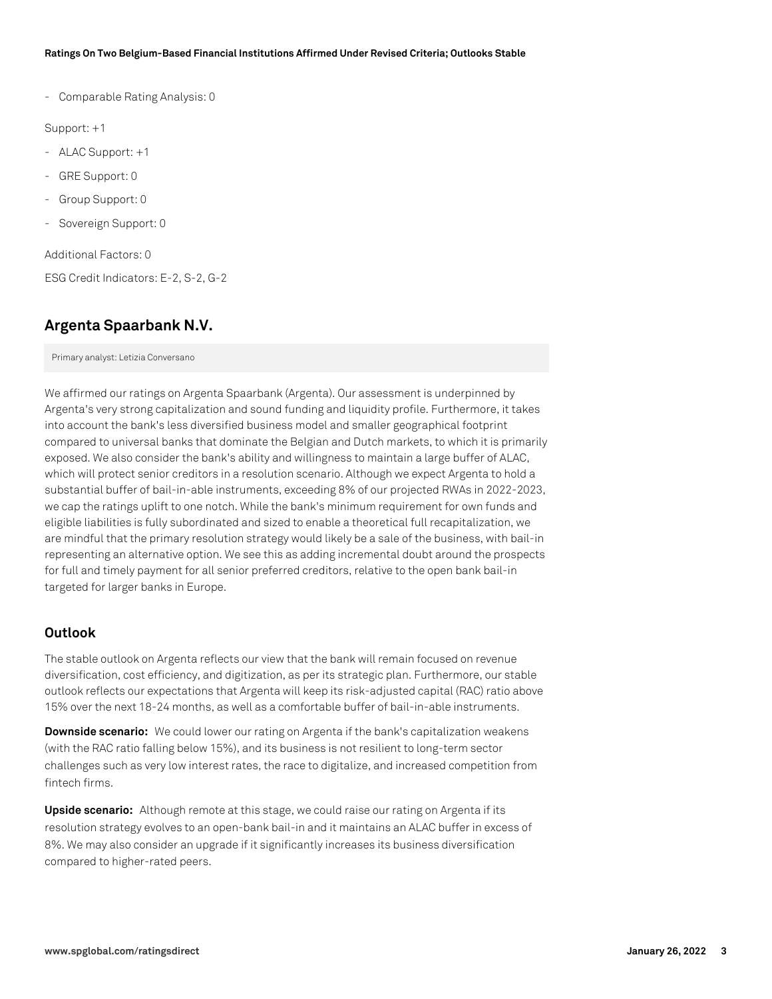#### **Ratings On Two Belgium-Based Financial Institutions Affirmed Under Revised Criteria; Outlooks Stable**

- Comparable Rating Analysis: 0

Support: +1

- ALAC Support: +1
- GRE Support: 0
- Group Support: 0
- Sovereign Support: 0

Additional Factors: 0

ESG Credit Indicators: E-2, S-2, G-2

# **Argenta Spaarbank N.V.**

Primary analyst: Letizia Conversano

We affirmed our ratings on Argenta Spaarbank (Argenta). Our assessment is underpinned by Argenta's very strong capitalization and sound funding and liquidity profile. Furthermore, it takes into account the bank's less diversified business model and smaller geographical footprint compared to universal banks that dominate the Belgian and Dutch markets, to which it is primarily exposed. We also consider the bank's ability and willingness to maintain a large buffer of ALAC, which will protect senior creditors in a resolution scenario. Although we expect Argenta to hold a substantial buffer of bail-in-able instruments, exceeding 8% of our projected RWAs in 2022-2023, we cap the ratings uplift to one notch. While the bank's minimum requirement for own funds and eligible liabilities is fully subordinated and sized to enable a theoretical full recapitalization, we are mindful that the primary resolution strategy would likely be a sale of the business, with bail-in representing an alternative option. We see this as adding incremental doubt around the prospects for full and timely payment for all senior preferred creditors, relative to the open bank bail-in targeted for larger banks in Europe.

#### **Outlook**

The stable outlook on Argenta reflects our view that the bank will remain focused on revenue diversification, cost efficiency, and digitization, as per its strategic plan. Furthermore, our stable outlook reflects our expectations that Argenta will keep its risk-adjusted capital (RAC) ratio above 15% over the next 18-24 months, as well as a comfortable buffer of bail-in-able instruments.

**Downside scenario:** We could lower our rating on Argenta if the bank's capitalization weakens (with the RAC ratio falling below 15%), and its business is not resilient to long-term sector challenges such as very low interest rates, the race to digitalize, and increased competition from fintech firms.

**Upside scenario:** Although remote at this stage, we could raise our rating on Argenta if its resolution strategy evolves to an open-bank bail-in and it maintains an ALAC buffer in excess of 8%. We may also consider an upgrade if it significantly increases its business diversification compared to higher-rated peers.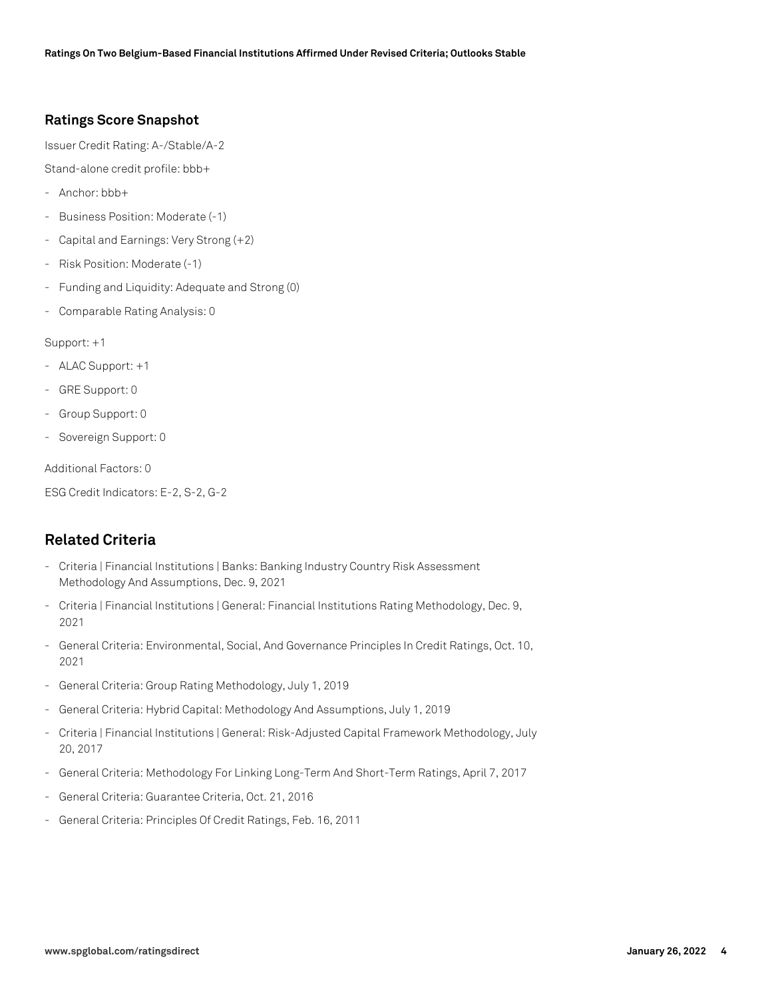#### **Ratings Score Snapshot**

Issuer Credit Rating: A-/Stable/A-2

Stand-alone credit profile: bbb+

- Anchor: bbb+
- Business Position: Moderate (-1)
- Capital and Earnings: Very Strong (+2)
- Risk Position: Moderate (-1)
- Funding and Liquidity: Adequate and Strong (0)
- Comparable Rating Analysis: 0

Support: +1

- ALAC Support: +1
- GRE Support: 0
- Group Support: 0
- Sovereign Support: 0

Additional Factors: 0

ESG Credit Indicators: E-2, S-2, G-2

## **Related Criteria**

- Criteria | Financial Institutions | Banks: Banking Industry Country Risk Assessment Methodology And Assumptions, Dec. 9, 2021
- Criteria | Financial Institutions | General: Financial Institutions Rating Methodology, Dec. 9, 2021
- General Criteria: Environmental, Social, And Governance Principles In Credit Ratings, Oct. 10, 2021
- General Criteria: Group Rating Methodology, July 1, 2019
- General Criteria: Hybrid Capital: Methodology And Assumptions, July 1, 2019
- Criteria | Financial Institutions | General: Risk-Adjusted Capital Framework Methodology, July 20, 2017
- General Criteria: Methodology For Linking Long-Term And Short-Term Ratings, April 7, 2017
- General Criteria: Guarantee Criteria, Oct. 21, 2016
- General Criteria: Principles Of Credit Ratings, Feb. 16, 2011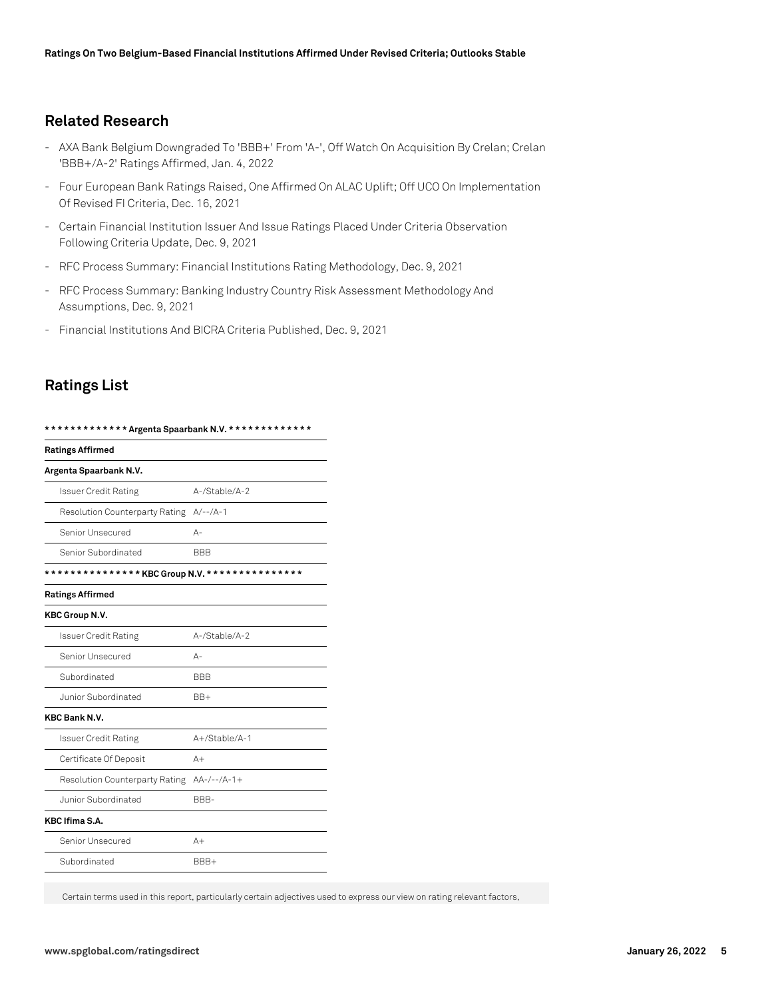### **Related Research**

- AXA Bank Belgium Downgraded To 'BBB+' From 'A-', Off Watch On Acquisition By Crelan; Crelan 'BBB+/A-2' Ratings Affirmed, Jan. 4, 2022
- Four European Bank Ratings Raised, One Affirmed On ALAC Uplift; Off UCO On Implementation Of Revised FI Criteria, Dec. 16, 2021
- Certain Financial Institution Issuer And Issue Ratings Placed Under Criteria Observation Following Criteria Update, Dec. 9, 2021
- RFC Process Summary: Financial Institutions Rating Methodology, Dec. 9, 2021
- RFC Process Summary: Banking Industry Country Risk Assessment Methodology And Assumptions, Dec. 9, 2021
- Financial Institutions And BICRA Criteria Published, Dec. 9, 2021

# **Ratings List**

| *************Argenta Spaarbank N.V. ************* |               |
|---------------------------------------------------|---------------|
| <b>Ratings Affirmed</b>                           |               |
| Argenta Spaarbank N.V.                            |               |
| <b>Issuer Credit Rating</b>                       | A-/Stable/A-2 |
| <b>Resolution Counterparty Rating</b>             | $A/--/A-1$    |
| Senior Unsecured                                  | $A -$         |
| Senior Subordinated                               | <b>BBB</b>    |
| ************** KBC Group N.V. ****************    |               |
| <b>Ratings Affirmed</b>                           |               |
| <b>KBC Group N.V.</b>                             |               |
| <b>Issuer Credit Rating</b>                       | A-/Stable/A-2 |
| Senior Unsecured                                  | А-            |
| Subordinated                                      | <b>BBB</b>    |
| Junior Subordinated                               | $BB+$         |
| <b>KBC Bank N.V.</b>                              |               |
| <b>Issuer Credit Rating</b>                       | A+/Stable/A-1 |
| Certificate Of Deposit                            | $A+$          |
| Resolution Counterparty Rating                    | $AA-/--/A-1+$ |
| Junior Subordinated                               | BBB-          |
| <b>KBC Ifima S.A.</b>                             |               |
| Senior Unsecured                                  | $A+$          |
| Subordinated                                      | BBB+          |
|                                                   |               |

Certain terms used in this report, particularly certain adjectives used to express our view on rating relevant factors,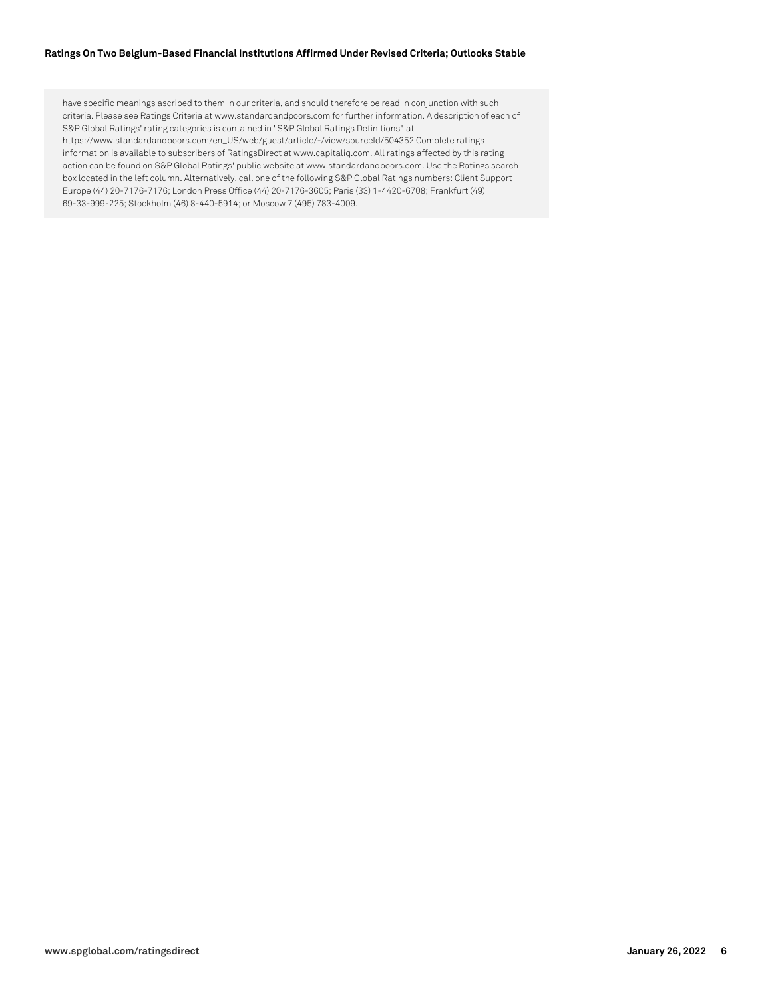#### **Ratings On Two Belgium-Based Financial Institutions Affirmed Under Revised Criteria; Outlooks Stable**

have specific meanings ascribed to them in our criteria, and should therefore be read in conjunction with such criteria. Please see Ratings Criteria at www.standardandpoors.com for further information. A description of each of S&P Global Ratings' rating categories is contained in "S&P Global Ratings Definitions" at https://www.standardandpoors.com/en\_US/web/guest/article/-/view/sourceId/504352 Complete ratings information is available to subscribers of RatingsDirect at www.capitaliq.com. All ratings affected by this rating action can be found on S&P Global Ratings' public website at www.standardandpoors.com. Use the Ratings search box located in the left column. Alternatively, call one of the following S&P Global Ratings numbers: Client Support Europe (44) 20-7176-7176; London Press Office (44) 20-7176-3605; Paris (33) 1-4420-6708; Frankfurt (49) 69-33-999-225; Stockholm (46) 8-440-5914; or Moscow 7 (495) 783-4009.